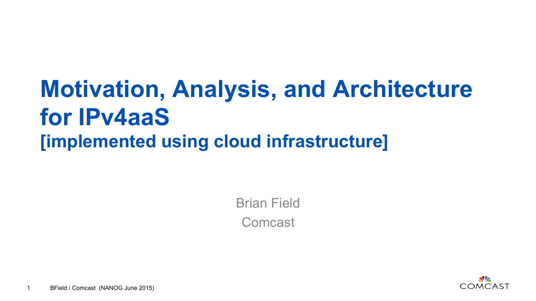# **Motivation, Analysis, and Architecture for IPv4aaS [implemented using cloud infrastructure]**

Brian Field Comcast

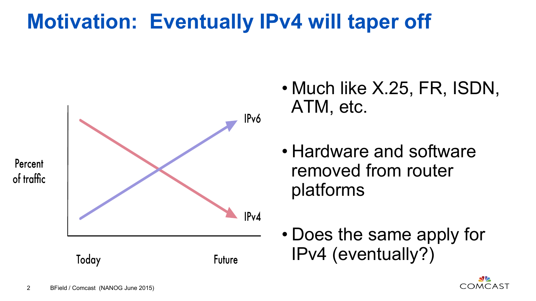# **Motivation: Eventually IPv4 will taper off**

**Percent** of traffic



- Much like X.25, FR, ISDN, ATM, etc.
- Hardware and software removed from router platforms
- Does the same apply for

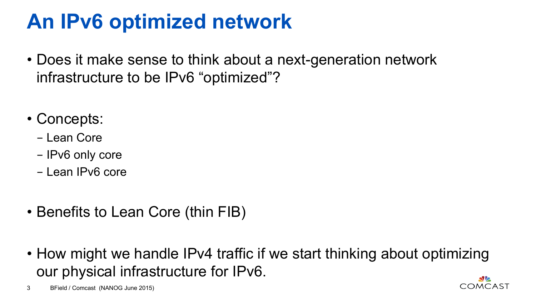### **An IPv6 optimized network**

- Does it make sense to think about a next-generation network infrastructure to be IPv6 "optimized"?
- Concepts:
	- Lean Core
	- IPv6 only core
	- Lean IPv6 core
- Benefits to Lean Core (thin FIB)
- How might we handle IPv4 traffic if we start thinking about optimizing our physical infrastructure for IPv6.

**COMCAST** 

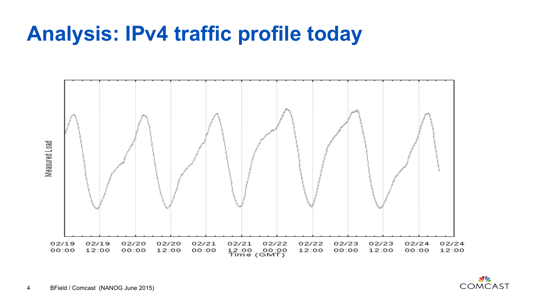### **Analysis: IPv4 traffic profile today**



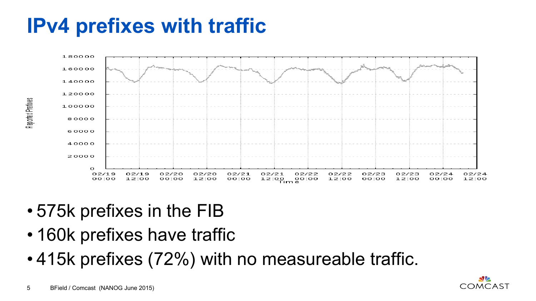# **IPv4 prefixes with traffic**



- 575k prefixes in the FIB
- 160k prefixes have traffic
- 415k prefixes (72%) with no measureable traffic.

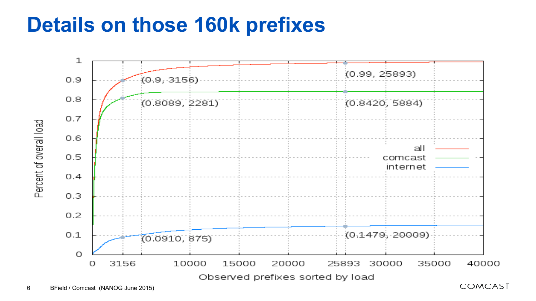### **Details on those 160k prefixes**



**COMCAST**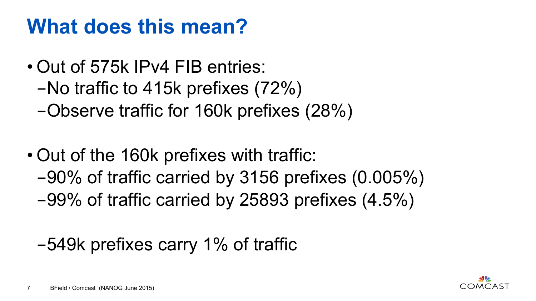## **What does this mean?**

- Out of 575k IPv4 FIB entries: -No traffic to 415k prefixes (72%) -Observe traffic for 160k prefixes (28%)
- Out of the 160k prefixes with traffic:
	- -90% of traffic carried by 3156 prefixes (0.005%)
	- -99% of traffic carried by 25893 prefixes (4.5%)

### -549k prefixes carry 1% of traffic

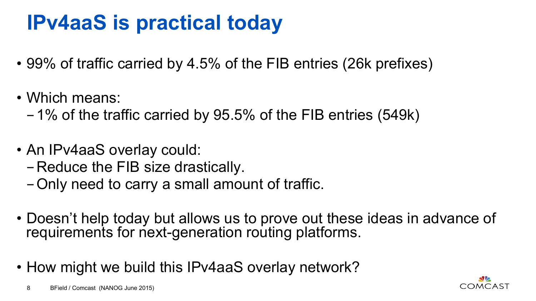# **IPv4aaS is practical today**

- 99% of traffic carried by 4.5% of the FIB entries (26k prefixes)
- Which means:
	- -1% of the traffic carried by 95.5% of the FIB entries (549k)
- An IPv4aaS overlay could:
	- -Reduce the FIB size drastically.
	- -Only need to carry a small amount of traffic.
- Doesn't help today but allows us to prove out these ideas in advance of requirements for next-generation routing platforms.
- How might we build this IPv4aaS overlay network?

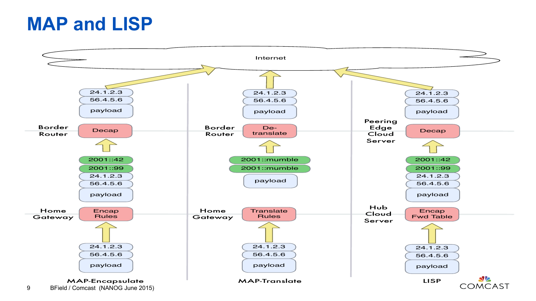#### **MAP and LISP**

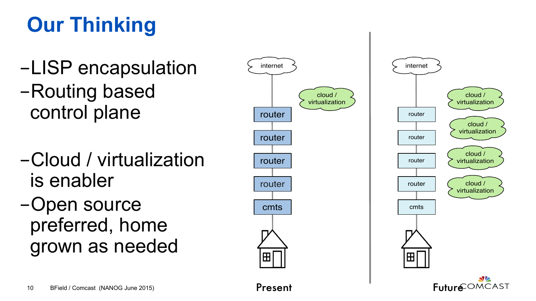# **Our Thinking**

- -LISP encapsulation -Routing based control plane
- -Cloud / virtualization is enabler
- -Open source preferred, home grown as needed





cloud / virtualization

cloud / virtualization

cloud / virtualization

cloud / virtualization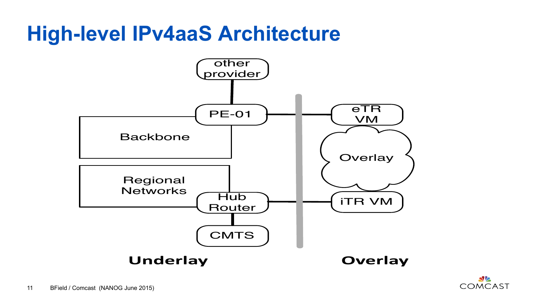# **High-level IPv4aaS Architecture**



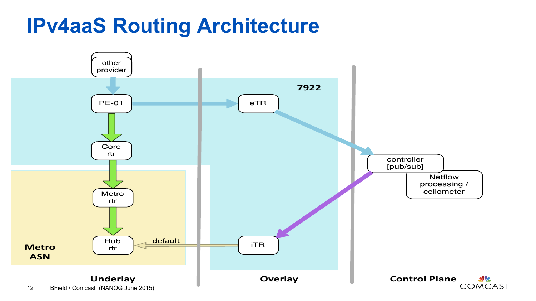# **IPv4aaS Routing Architecture**

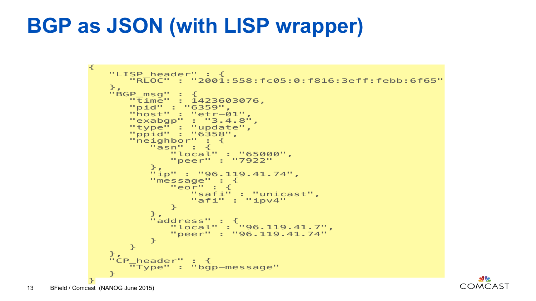### **BGP as JSON (with LISP wrapper)**

```
\mathcal{L}"LISP header" : {
         "RLOC" : "2001:558:fc05:0:f816:3eff:febb:6f65"
    },
     "BGP_msg" : {
         "time" : 1423603076,
         "pid" : "6359",
        "host" : "etr-\overline{0}1".
        "exabgp" : "3.4.8",
        "type" : "update",
         "ppid" : "6358",
         "neighbor" : {
             "asn" : {
                 "local" : "65000",
             "peer" : "7922"
\mathbb{R}^n, \mathbb{R}^n, \mathbb{R}^n"ip" : "96.119.41.74",
             "message" : {
                 "eor" : {
                     "safi" : "unicast",
                 "afi" : "ipv4"
\mathbb{R}^n and \mathbb{R}^n . The set of \mathbb{R}^n },
             "address" : {
                 "local" : "96.119.41.7",
            "peer" : "96.119.41.74"
\mathbb{R}^n \times \mathbb{R}^n \to \mathbb{R}^n\mathbb{R}^2 \times \mathbb{R}^2 },
    "CP header" : \{ "Type" : "bgp-message"
     }
}
```
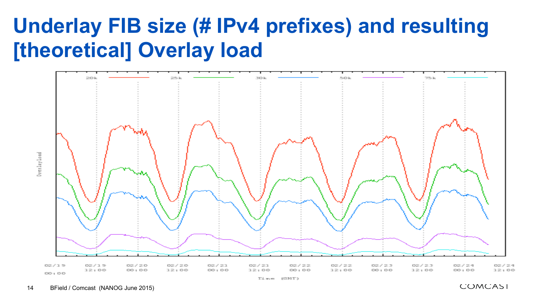### **Underlay FIB size (# IPv4 prefixes) and resulting [theoretical] Overlay load**



 $Time$  ( $(BMT)$ )

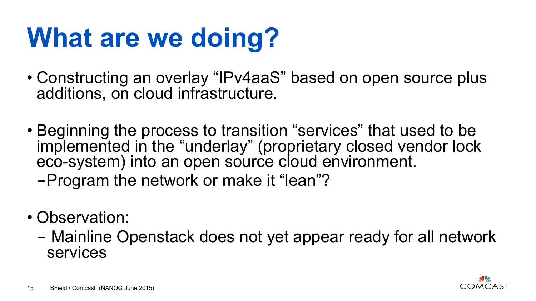# **What are we doing?**

- Constructing an overlay "IPv4aaS" based on open source plus additions, on cloud infrastructure.
- Beginning the process to transition "services" that used to be implemented in the "underlay" (proprietary closed vendor lock eco-system) into an open source cloud environment.

-Program the network or make it "lean"?

- Observation:
	- Mainline Openstack does not yet appear ready for all network services

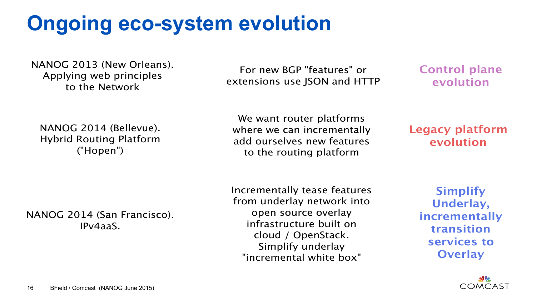# **Ongoing eco-system evolution**

NANOG 2013 (New Orleans). Applying web principles to the Network

For new BGP "features" or extensions use JSON and HTTP

NANOG 2014 (Bellevue). Hybrid Routing Platform ("Hopen")

We want router platforms where we can incrementally add ourselves new features to the routing platform

**Control plane evolution**

**Legacy platform evolution**

NANOG 2014 (San Francisco). IPv4aaS.

Incrementally tease features from underlay network into open source overlay infrastructure built on cloud / OpenStack. Simplify underlay "incremental white box"

**Simplify Underlay, incrementally transition services to Overlay**